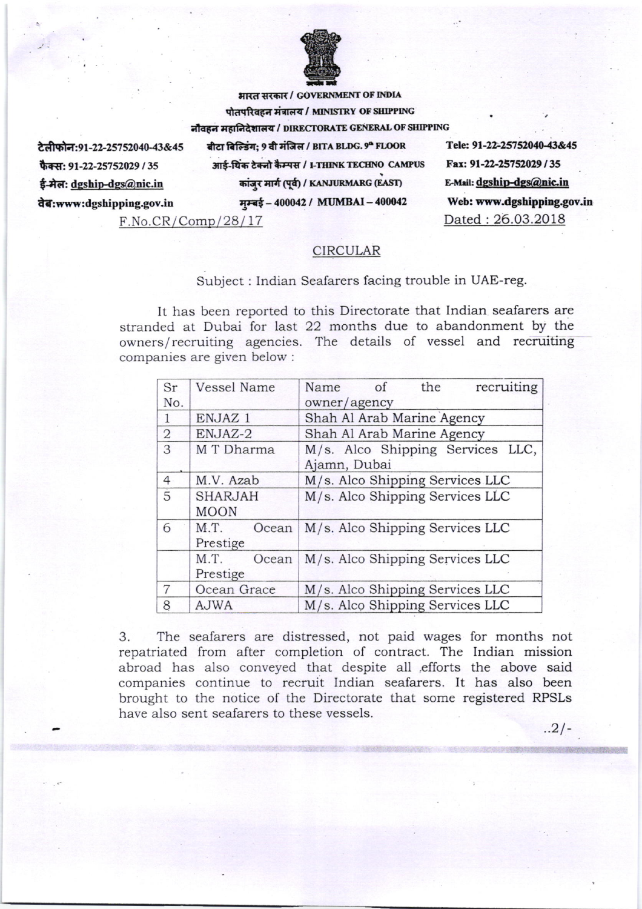

भारत सरकार / GOVERNMENT OF INDIA पोतपरिवहन मंत्रालय / MINISTRY OF SHIPPING नौवहन महानिदेशालय / DIRECTORATE GENERAL OF SHIPPING

टेलीफोन:91-22-25752040-43&45 फैक्स: 91-22-25752029 / 35 ई-मेल: dgship-dgs@nic.in वेब:www:dgshipping.gov.in

बीटा बिल्डिंग: 9 वी मंजिल / BITA BLDG. 9ª FLOOR आई-थिंक टेक्नो कैम्पस / I-THINK TECHNO CAMPUS कांजुर मार्ग (पूर्व) / KANJURMARG (EAST)

मम्बई - 400042 / MUMBAI - 400042

 $F.No.CR/Comp/28/17$ 

Tele: 91-22-25752040-43&45 Fax: 91-22-25752029/35 E-Mail: dgship-dgs@nic.in Web: www.dgshipping.gov.in Dated: 26.03.2018

 $.2/-$ 

## **CIRCULAR**

## Subject : Indian Seafarers facing trouble in UAE-reg.

It has been reported to this Directorate that Indian seafarers are stranded at Dubai for last 22 months due to abandonment by the owners/recruiting agencies. The details of vessel and recruiting companies are given below :

| Sr             | Vessel Name    | recruiting<br>of<br>the<br>Name  |
|----------------|----------------|----------------------------------|
| No.            |                | owner/agency                     |
| $\mathbf{1}$   | ENJAZ 1        | Shah Al Arab Marine Agency       |
| $\overline{2}$ | ENJAZ-2        | Shah Al Arab Marine Agency       |
| 3              | M T Dharma     | M/s. Alco Shipping Services LLC, |
|                |                | Ajamn, Dubai                     |
| $\overline{4}$ | M.V. Azab      | M/s. Alco Shipping Services LLC  |
| $\overline{5}$ | <b>SHARJAH</b> | M/s. Alco Shipping Services LLC  |
|                | <b>MOON</b>    |                                  |
| 6              | M.T.<br>Ocean  | M/s. Alco Shipping Services LLC  |
|                | Prestige       |                                  |
|                | M.T.<br>Ocean  | M/s. Alco Shipping Services LLC  |
|                | Prestige       |                                  |
| 7              | Ocean Grace    | M/s. Alco Shipping Services LLC  |
| 8              | <b>AJWA</b>    | M/s. Alco Shipping Services LLC  |

The seafarers are distressed, not paid wages for months not 3. repatriated from after completion of contract. The Indian mission abroad has also conveyed that despite all efforts the above said companies continue to recruit Indian seafarers. It has also been brought to the notice of the Directorate that some registered RPSLs have also sent seafarers to these vessels.